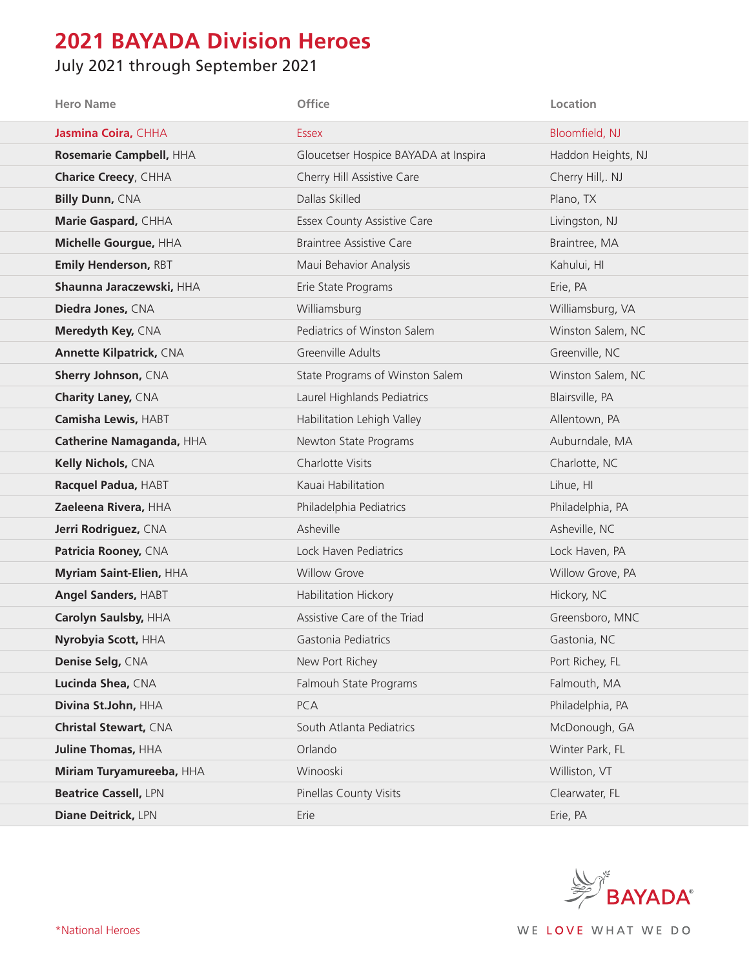## **2021 BAYADA Division Heroes**

## July 2021 through September 2021

| <b>Hero Name</b>               | Office                               | Location           |
|--------------------------------|--------------------------------------|--------------------|
| Jasmina Coira, CHHA            | <b>Essex</b>                         | Bloomfield, NJ     |
| Rosemarie Campbell, HHA        | Gloucetser Hospice BAYADA at Inspira | Haddon Heights, NJ |
| <b>Charice Creecy, CHHA</b>    | Cherry Hill Assistive Care           | Cherry Hill,. NJ   |
| <b>Billy Dunn, CNA</b>         | Dallas Skilled                       | Plano, TX          |
| Marie Gaspard, CHHA            | <b>Essex County Assistive Care</b>   | Livingston, NJ     |
| Michelle Gourgue, HHA          | <b>Braintree Assistive Care</b>      | Braintree, MA      |
| Emily Henderson, RBT           | Maui Behavior Analysis               | Kahului, HI        |
| Shaunna Jaraczewski, HHA       | Erie State Programs                  | Erie, PA           |
| Diedra Jones, CNA              | Williamsburg                         | Williamsburg, VA   |
| Meredyth Key, CNA              | Pediatrics of Winston Salem          | Winston Salem, NC  |
| <b>Annette Kilpatrick, CNA</b> | Greenville Adults                    | Greenville, NC     |
| Sherry Johnson, CNA            | State Programs of Winston Salem      | Winston Salem, NC  |
| <b>Charity Laney, CNA</b>      | Laurel Highlands Pediatrics          | Blairsville, PA    |
| Camisha Lewis, HABT            | Habilitation Lehigh Valley           | Allentown, PA      |
| Catherine Namaganda, HHA       | Newton State Programs                | Auburndale, MA     |
| Kelly Nichols, CNA             | Charlotte Visits                     | Charlotte, NC      |
| Racquel Padua, HABT            | Kauai Habilitation                   | Lihue, HI          |
| Zaeleena Rivera, HHA           | Philadelphia Pediatrics              | Philadelphia, PA   |
| Jerri Rodriguez, CNA           | Asheville                            | Asheville, NC      |
| Patricia Rooney, CNA           | Lock Haven Pediatrics                | Lock Haven, PA     |
| Myriam Saint-Elien, HHA        | <b>Willow Grove</b>                  | Willow Grove, PA   |
| Angel Sanders, HABT            | Habilitation Hickory                 | Hickory, NC        |
| Carolyn Saulsby, HHA           | Assistive Care of the Triad          | Greensboro, MNC    |
| Nyrobyia Scott, HHA            | Gastonia Pediatrics                  | Gastonia, NC       |
| Denise Selg, CNA               | New Port Richey                      | Port Richey, FL    |
| Lucinda Shea, CNA              | Falmouh State Programs               | Falmouth, MA       |
| Divina St.John, HHA            | PCA                                  | Philadelphia, PA   |
| <b>Christal Stewart, CNA</b>   | South Atlanta Pediatrics             | McDonough, GA      |
| <b>Juline Thomas, HHA</b>      | Orlando                              | Winter Park, FL    |
| Miriam Turyamureeba, HHA       | Winooski                             | Williston, VT      |
| <b>Beatrice Cassell, LPN</b>   | Pinellas County Visits               | Clearwater, FL     |
| Diane Deitrick, LPN            | Erie                                 | Erie, PA           |



\*National Heroes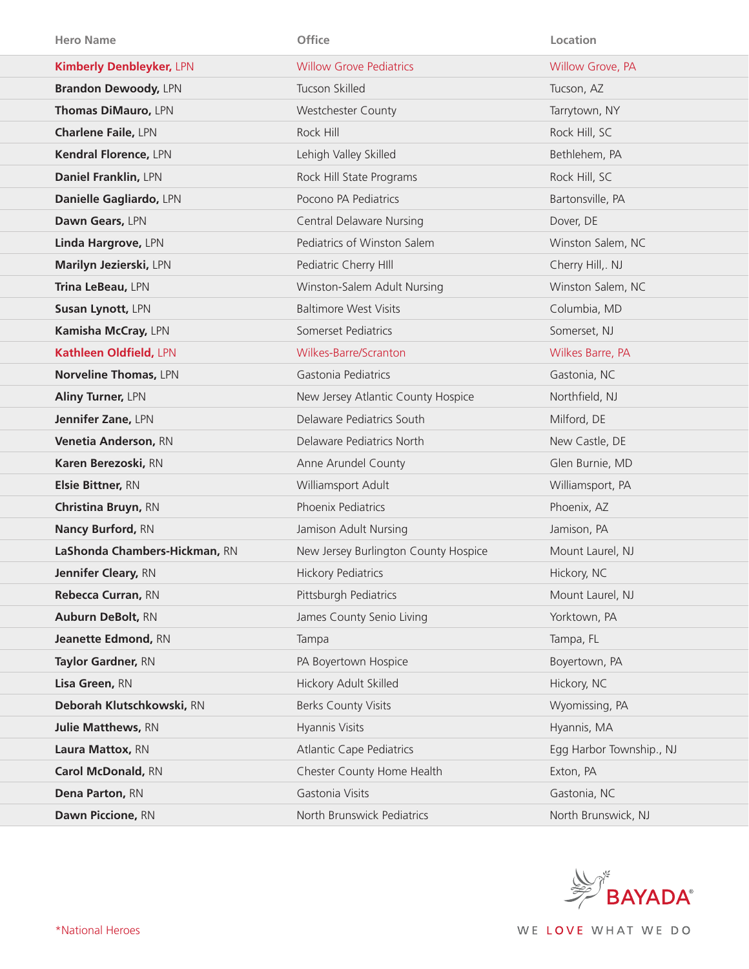| <b>Hero Name</b>                | Office                               | Location                 |
|---------------------------------|--------------------------------------|--------------------------|
| <b>Kimberly Denbleyker, LPN</b> | <b>Willow Grove Pediatrics</b>       | Willow Grove, PA         |
| <b>Brandon Dewoody, LPN</b>     | Tucson Skilled                       | Tucson, AZ               |
| Thomas DiMauro, LPN             | <b>Westchester County</b>            | Tarrytown, NY            |
| <b>Charlene Faile, LPN</b>      | Rock Hill                            | Rock Hill, SC            |
| Kendral Florence, LPN           | Lehigh Valley Skilled                | Bethlehem, PA            |
| Daniel Franklin, LPN            | Rock Hill State Programs             | Rock Hill, SC            |
| Danielle Gagliardo, LPN         | Pocono PA Pediatrics                 | Bartonsville, PA         |
| Dawn Gears, LPN                 | <b>Central Delaware Nursing</b>      | Dover, DE                |
| Linda Hargrove, LPN             | Pediatrics of Winston Salem          | Winston Salem, NC        |
| Marilyn Jezierski, LPN          | Pediatric Cherry HIII                | Cherry Hill,. NJ         |
| Trina LeBeau, LPN               | Winston-Salem Adult Nursing          | Winston Salem, NC        |
| Susan Lynott, LPN               | <b>Baltimore West Visits</b>         | Columbia, MD             |
| Kamisha McCray, LPN             | Somerset Pediatrics                  | Somerset, NJ             |
| Kathleen Oldfield, LPN          | Wilkes-Barre/Scranton                | Wilkes Barre, PA         |
| <b>Norveline Thomas, LPN</b>    | Gastonia Pediatrics                  | Gastonia, NC             |
| Aliny Turner, LPN               | New Jersey Atlantic County Hospice   | Northfield, NJ           |
| Jennifer Zane, LPN              | Delaware Pediatrics South            | Milford, DE              |
| Venetia Anderson, RN            | Delaware Pediatrics North            | New Castle, DE           |
| Karen Berezoski, RN             | Anne Arundel County                  | Glen Burnie, MD          |
| Elsie Bittner, RN               | Williamsport Adult                   | Williamsport, PA         |
| Christina Bruyn, RN             | Phoenix Pediatrics                   | Phoenix, AZ              |
| <b>Nancy Burford, RN</b>        | Jamison Adult Nursing                | Jamison, PA              |
| LaShonda Chambers-Hickman, RN   | New Jersey Burlington County Hospice | Mount Laurel, NJ         |
| Jennifer Cleary, RN             | <b>Hickory Pediatrics</b>            | Hickory, NC              |
| Rebecca Curran, RN              | Pittsburgh Pediatrics                | Mount Laurel, NJ         |
| Auburn DeBolt, RN               | James County Senio Living            | Yorktown, PA             |
| Jeanette Edmond, RN             | Tampa                                | Tampa, FL                |
| Taylor Gardner, RN              | PA Boyertown Hospice                 | Boyertown, PA            |
| Lisa Green, RN                  | Hickory Adult Skilled                | Hickory, NC              |
| Deborah Klutschkowski, RN       | <b>Berks County Visits</b>           | Wyomissing, PA           |
| <b>Julie Matthews, RN</b>       | Hyannis Visits                       | Hyannis, MA              |
| Laura Mattox, RN                | <b>Atlantic Cape Pediatrics</b>      | Egg Harbor Township., NJ |
| Carol McDonald, RN              | Chester County Home Health           | Exton, PA                |
| Dena Parton, RN                 | Gastonia Visits                      | Gastonia, NC             |
| Dawn Piccione, RN               | North Brunswick Pediatrics           | North Brunswick, NJ      |